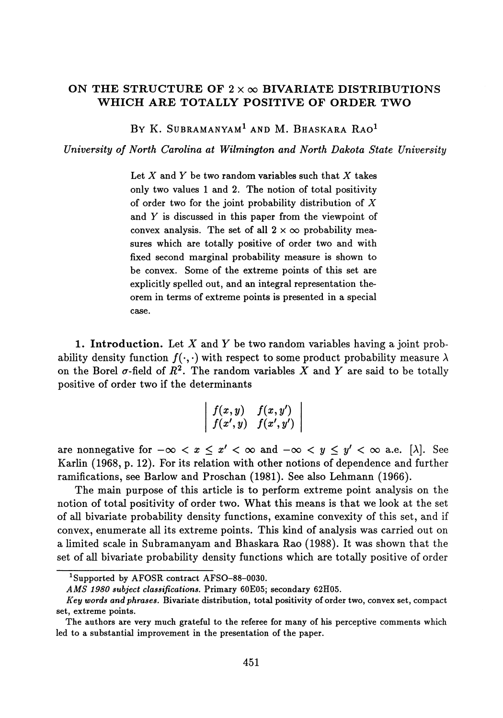## **ON THE STRUCTURE OF** 2 x oo **BIVARIATE DISTRIBUTIONS WHICH ARE TOTALLY POSITIVE OF ORDER TWO**

By K. Subramanyam<sup>i</sup> and M. Bhaskara Rao<sup>i</sup>

*University of North Carolina at Wilmington and North Dakota State University*

Let *X* and *Y* be two random variables such that *X* takes only two values 1 and 2. The notion of total positivity of order two for the joint probability distribution of *X* and *Y* is discussed in this paper from the viewpoint of convex analysis. The set of all  $2 \times \infty$  probability measures which are totally positive of order two and with fixed second marginal probability measure is shown to be convex. Some of the extreme points of this set are explicitly spelled out, and an integral representation the orem in terms of extreme points is presented in a special case.

**1. Introduction.** Let *X* and *Y* be two random variables having a joint prob ability density function  $f(\cdot, \cdot)$  with respect to some product probability measure  $\lambda$ on the Borel  $\sigma$ -field of  $R^2$ . The random variables  $X$  and  $Y$  are said to be totally positive of order two if the determinants

$$
\left|\begin{array}{cc}f(x,y)&f(x,y')\\f(x',y)&f(x',y')\end{array}\right|
$$

are nonnegative for  $-\infty < x \leq x' < \infty$  and  $-\infty < y \leq y' < \infty$  a.e. [ $\lambda$ ]. See Karlin (1968, p. 12). For its relation with other notions of dependence and further ramifications, see Barlow and Proschan (1981). See also Lehmann (1966).

The main purpose of this article is to perform extreme point analysis on the notion of total positivity of order two. What this means is that we look at the set of all bivariate probability density functions, examine convexity of this set, and if convex, enumerate all its extreme points. This kind of analysis was carried out on a limited scale in Subramanyam and Bhaskara Rao (1988). It was shown that the set of all bivariate probability density functions which are totally positive of order

**Supported by AFOSR contract AFSO-88-0030.**

*AMS 1980 subject classifications.* **Primary 60E05; secondary 62H05.**

*Key words and phrases.* **Bivariate distribution, total positivity of order two, convex set, compact set, extreme points.**

**The authors are very much grateful to the referee for many of his perceptive comments which led to a substantial improvement in the presentation of the paper.**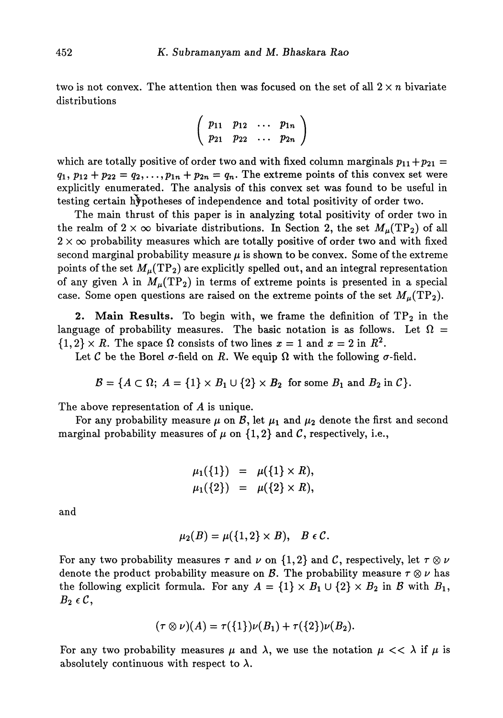two is not convex. The attention then was focused on the set of all  $2 \times n$  bivariate distributions

$$
\left(\begin{array}{cccc}p_{11} & p_{12} & \ldots & p_{1n} \\ p_{21} & p_{22} & \ldots & p_{2n}\end{array}\right)
$$

which are totally positive of order two and with fixed column marginals  $p_{11} + p_{21} =$  $q_1, p_{12} + p_{22} = q_2, \ldots, p_{1n} + p_{2n} = q_n$ . The extreme points of this convex set were explicitly enumerated. The analysis of this convex set was found to be useful in testing certain hypotheses of independence and total positivity of order two.

The main thrust of this paper is in analyzing total positivity of order two in the realm of  $2 \times \infty$  bivariate distributions. In Section 2, the set  $M_{\mu}(\mathrm{TP}_2)$  of all  $2 \times \infty$  probability measures which are totally positive of order two and with fixed second marginal probability measure  $\mu$  is shown to be convex. Some of the extreme points of the set  $M_\mu(\mathrm{TP}_2)$  are explicitly spelled out, and an integral representation of any given  $\lambda$  in  $M_\mu(\text{TP}_2)$  in terms of extreme points is presented in a special case. Some open questions are raised on the extreme points of the set  $M_u(TP_2)$ .

**2. Main Results.** To begin with, we frame the definition of  $TP_2$  in the language of probability measures. The basic notation is as follows. Let  $\Omega =$  $\{1,2\} \times R$ . The space  $\Omega$  consists of two lines  $x = 1$  and  $x = 2$  in  $R^2$ .

Let C be the Borel  $\sigma$ -field on R. We equip  $\Omega$  with the following  $\sigma$ -field.

 $B = \{A \subset \Omega; \ A = \{1\} \times B_1 \cup \{2\} \times B_2 \text{ for some } B_1 \text{ and } B_2 \text{ in } C\}.$ 

The above representation of *A* is unique.

For any probability measure  $\mu$  on  $\mathcal{B},$  let  $\mu_1$  and  $\mu_2$  denote the first and second marginal probability measures of  $\mu$  on  $\{1,2\}$  and C, respectively, i.e.,

$$
\mu_1(\{1\}) = \mu(\{1\} \times R), \n\mu_1(\{2\}) = \mu(\{2\} \times R),
$$

and

$$
\mu_2(B)=\mu(\{1,2\}\times B),\quad B\in\mathcal{C}.
$$

For any two probability measures  $\tau$  and  $\nu$  on  $\{1,2\}$  and C, respectively, let  $\tau \otimes \nu$ denote the product probability measure on B. The probability measure  $\tau \otimes \nu$  has the following explicit formula. For any  $A = \{1\} \times B_1 \cup \{2\} \times B_2$  in B with  $B_1$ , *B2 eC,*

$$
(\tau \otimes \nu)(A) = \tau({1})\nu(B_1) + \tau({2})\nu(B_2).
$$

For any two probability measures  $\mu$  and  $\lambda$ , we use the notation  $\mu << \lambda$  if  $\mu$  is absolutely continuous with respect to  $\lambda$ .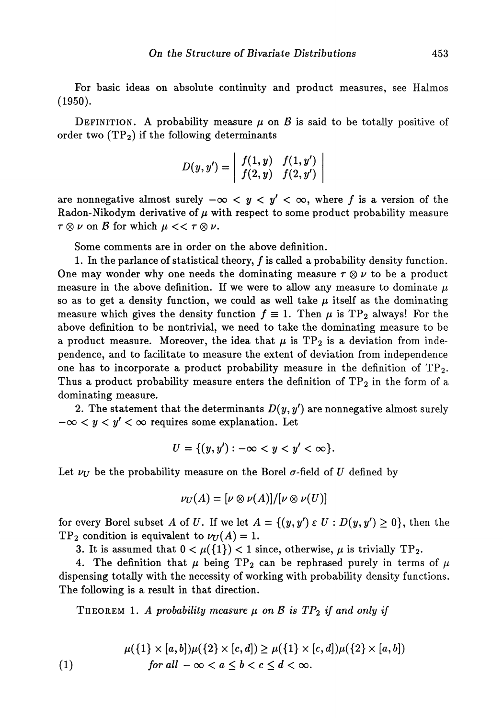For basic ideas on absolute continuity and product measures, see Halmos (1950).

DEFINITION. A probability measure  $\mu$  on  $\beta$  is said to be totally positive of order two  $(TP_2)$  if the following determinants

$$
D(y,y')=\left|\begin{array}{cc}f(1,y)&f(1,y')\\f(2,y)&f(2,y')\end{array}\right|
$$

are nonnegative almost surely  $-\infty < y < y' < \infty$ , where f is a version of the Radon-Nikodym derivative of *μ* with respect to some product probability measure  $\tau \otimes \nu$  on  $\beta$  for which  $\mu \ll \tau \otimes \nu$ .

Some comments are in order on the above definition.

1. In the parlance of statistical theory,  $f$  is called a probability density function. One may wonder why one needs the dominating measure  $\tau \otimes \nu$  to be a product measure in the above definition. If we were to allow any measure to dominate  $\mu$ so as to get a density function, we could as well take  $\mu$  itself as the dominating measure which gives the density function  $f \equiv 1$ . Then  $\mu$  is TP<sub>2</sub> always! For the above definition to be nontrivial, we need to take the dominating measure to be a product measure. Moreover, the idea that  $\mu$  is TP<sub>2</sub> is a deviation from independence, and to facilitate to measure the extent of deviation from independence one has to incorporate a product probability measure in the definition of  $TP_2$ . Thus a product probability measure enters the definition of  $TP_2$  in the form of a dominating measure.

2. The statement that the determinants  $D(y, y')$  are nonnegative almost surely  $-\infty < y < y' < \infty$  requires some explanation. Let

$$
U = \{(y, y') : -\infty < y < y' < \infty\}.
$$

Let  $\nu_{\text{U}}$  be the probability measure on the Borel  $\sigma$ -field of U defined by

$$
\nu_U(A)=[\nu\otimes\nu(A)]/[\nu\otimes\nu(U)]
$$

for every Borel subset *A* of *U*. If we let  $A = \{(y, y') \in U : D(y, y') \ge 0\}$ , then the  $TP_2$  condition is equivalent to  $\nu_U(A) = 1$ .

3. It is assumed that  $0 < \mu({1}) < 1$  since, otherwise,  $\mu$  is trivially TP<sub>2</sub>.

4. The definition that  $\mu$  being TP<sub>2</sub> can be rephrased purely in terms of  $\mu$ dispensing totally with the necessity of working with probability density functions. The following is a result in that direction.

THEOREM 1. A probability measure  $\mu$  on  $\beta$  is  $TP_2$  if and only if

(1) 
$$
\mu({1} \times [a, b])\mu({2} \times [c, d]) \ge \mu({1} \times [c, d])\mu({2} \times [a, b])
$$
  
for all  $-\infty < a \le b < c \le d < \infty$ .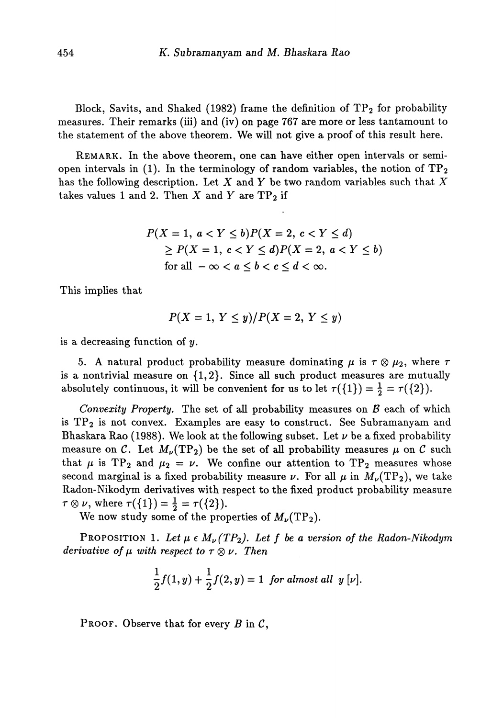Block, Savits, and Shaked (1982) frame the definition of  $\mathrm{TP}_2$  for probability measures. Their remarks (iii) and (iv) on page 767 are more or less tantamount to the statement of the above theorem. We will not give a proof of this result here.

REMARK. In the above theorem, one can have either open intervals or semi open intervals in (1). In the terminology of random variables, the notion of  $TP<sub>2</sub>$ has the following description. Let *X* and *Y* be two random variables such that *X* takes values 1 and 2. Then  $X$  and  $Y$  are  $TP_2$  if

$$
P(X = 1, a < Y \le b)P(X = 2, c < Y \le d) \\
\ge P(X = 1, c < Y \le d)P(X = 2, a < Y \le b) \\
\text{for all } -\infty < a \le b < c \le d < \infty.
$$

This implies that

$$
P(X=1, Y \leq y)/P(X=2, Y \leq y)
$$

is a decreasing function of y.

5. A natural product probability measure dominating  $\mu$  is  $\tau \otimes \mu_2$ , where  $\tau$ is a nontrivial measure on {1,2}. Since all such product measures are mutually absolutely continuous, it will be convenient for us to let  $\tau({1}) = \frac{1}{2} = \tau({2}).$ 

*Convexity Property.* The set of all probability measures on *B* each of which is  $TP<sub>2</sub>$  is not convex. Examples are easy to construct. See Subramanyam and Bhaskara Rao (1988). We look at the following subset. Let  $\nu$  be a fixed probability measure on C. Let  $M_{\nu}(TP_2)$  be the set of all probability measures  $\mu$  on C such that  $\mu$  is TP<sub>2</sub> and  $\mu_2 = \nu$ . We confine our attention to TP<sub>2</sub> measures whose second marginal is a fixed probability measure  $\nu$ . For all  $\mu$  in  $M_{\nu}(TP_2)$ , we take Radon-Nikodym derivatives with respect to the fixed product probability measure  $\tau \otimes \nu$ , where  $\tau({1}) = \frac{1}{2} = \tau({2}).$ 

We now study some of the properties of  $M_{\nu}(TP_2)$ .

PROPOSITION 1. *Let μ e M<sup>U</sup> (TP<sup>2</sup> ). Let f be α version of the Radon-Nikodym derivative of*  $\mu$  *with respect to*  $\tau \otimes \nu$ . *Then* 

$$
\frac{1}{2}f(1, y) + \frac{1}{2}f(2, y) = 1 \text{ for almost all } y [\nu].
$$

PROOF. Observe that for every *B* in C,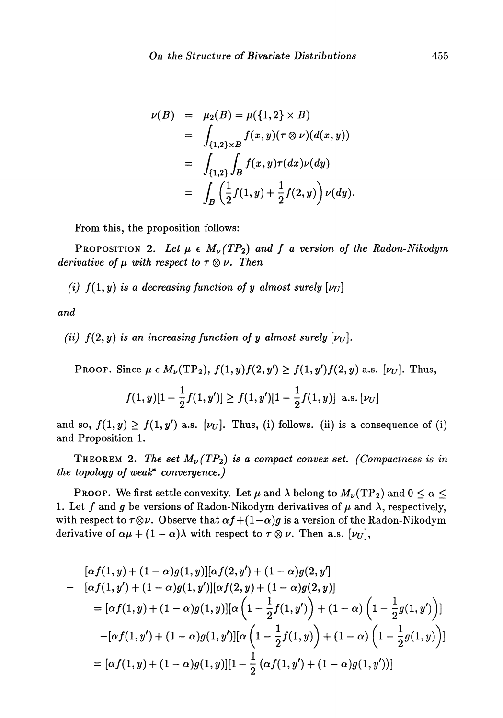$$
\nu(B) = \mu_2(B) = \mu(\{1, 2\} \times B)
$$
  
= 
$$
\int_{\{1, 2\} \times B} f(x, y)(\tau \otimes \nu)(d(x, y))
$$
  
= 
$$
\int_{\{1, 2\}} \int_B f(x, y)\tau(dx)\nu(dy)
$$
  
= 
$$
\int_B \left(\frac{1}{2}f(1, y) + \frac{1}{2}f(2, y)\right)\nu(dy).
$$

From this, the proposition follows:

PROPOSITION 2. Let  $\mu \in M_{\nu}(TP_2)$  and f a version of the Radon-Nikodym *derivative of*  $\mu$  *with respect to*  $\tau \otimes \nu$ . Then

*(i)*  $f(1, y)$  *is a decreasing function of y almost surely*  $[\nu_U]$ 

*and*

*(ii)*  $f(2, y)$  *is an increasing function of y almost surely*  $[\nu_U]$ *.* 

PROOF. Since  $\mu \in M_{\nu}(\text{TP}_2), f(1,y)f(2,y') \ge f(1,y')f(2,y)$  a.s.  $[\nu_U]$ . Thus,

$$
f(1, y)[1 - \frac{1}{2}f(1, y')] \ge f(1, y')[1 - \frac{1}{2}f(1, y)] \text{ a.s. } [\nu_U]
$$

and so,  $f(1,y) \ge f(1,y')$  a.s. [ $\nu_U$ ]. Thus, (i) follows. (ii) is a consequence of (i) and Proposition 1.

THEOREM 2. The set  $M_{\nu}(TP_2)$  is a compact convex set. (Compactness is in *the topology of weak\* convergence.)*

**PROOF.** We first settle convexity. Let  $\mu$  and  $\lambda$  belong to  $M_{\nu}(TP_2)$  and  $0 \leq \alpha \leq$ 1. Let f and g be versions of Radon-Nikodym derivatives of  $\mu$  and  $\lambda$ , respectively, with respect to  $\tau \otimes \nu$ . Observe that  $\alpha f + (1 - \alpha)g$  is a version of the Radon-Nikodym derivative of  $\alpha\mu + (1 - \alpha)\lambda$  with respect to  $\tau \otimes \nu$ . Then a.s.  $[\nu_U]$ ,

$$
[\alpha f(1, y) + (1 - \alpha)g(1, y)][\alpha f(2, y') + (1 - \alpha)g(2, y')]
$$
  
\n
$$
- [\alpha f(1, y') + (1 - \alpha)g(1, y')] [\alpha f(2, y) + (1 - \alpha)g(2, y)]
$$
  
\n
$$
= [\alpha f(1, y) + (1 - \alpha)g(1, y)][\alpha \left(1 - \frac{1}{2}f(1, y')\right) + (1 - \alpha) \left(1 - \frac{1}{2}g(1, y')\right)]
$$
  
\n
$$
-[\alpha f(1, y') + (1 - \alpha)g(1, y')] [\alpha \left(1 - \frac{1}{2}f(1, y)\right) + (1 - \alpha) \left(1 - \frac{1}{2}g(1, y)\right)]
$$
  
\n
$$
= [\alpha f(1, y) + (1 - \alpha)g(1, y)][1 - \frac{1}{2} (\alpha f(1, y') + (1 - \alpha)g(1, y'))]
$$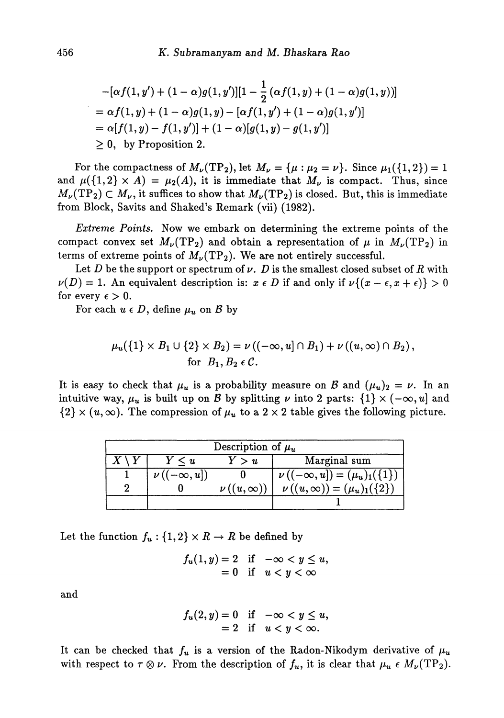$$
-[\alpha f(1, y') + (1 - \alpha)g(1, y')] [1 - \frac{1}{2} (\alpha f(1, y) + (1 - \alpha)g(1, y))]
$$
  
=  $\alpha f(1, y) + (1 - \alpha)g(1, y) - [\alpha f(1, y') + (1 - \alpha)g(1, y')]$   
=  $\alpha[f(1, y) - f(1, y')] + (1 - \alpha)[g(1, y) - g(1, y')]$   
 $\geq 0$ , by Proposition 2.

For the compactness of  $M_{\nu}(\text{TP}_2)$ , let  $M_{\nu} = {\mu : \mu_2 = \nu}.$  Since  $\mu_1({1,2}) = 1$ and  $\mu({1,2} \times A) = \mu_2(A)$ , it is immediate that  $M_{\nu}$  is compact. Thus, since  $M_{\nu}(TP_2) \subset M_{\nu}$ , it suffices to show that  $M_{\nu}(TP_2)$  is closed. But, this is immediate from Block, Savits and Shaked's Remark (vii) (1982).

*Extreme Points.* Now we embark on determining the extreme points of the compact convex set  $M_\nu(\mathrm{TP}_2)$  and obtain a representation of  $\mu$  in  $M_\nu(\mathrm{TP}_2)$  in terms of extreme points of  $M_{\nu}(\text{TP}_2)$ . We are not entirely successful.

Let *D* be the support or spectrum of  $\nu$ . *D* is the smallest closed subset of *R* with  $\nu(D) = 1$ . An equivalent description is:  $x \in D$  if and only if  $\nu\{(x - \epsilon, x + \epsilon)\} > 0$ for every  $\epsilon > 0$ .

For each  $u \in D$ , define  $\mu_u$  on  $\mathcal B$  by

$$
\mu_u(\{1\} \times B_1 \cup \{2\} \times B_2) = \nu((-\infty, u] \cap B_1) + \nu((u, \infty) \cap B_2),
$$
  
for  $B_1, B_2 \in \mathcal{C}$ .

It is easy to check that  $\mu_u$  is a probability measure on B and  $(\mu_u)_2 = \nu$ . In an intuitive way,  $\mu_u$  is built up on  $\mathcal B$  by splitting  $\nu$  into 2 parts:  $\{1\} \times (-\infty, u]$  and  ${2} \times (u,\infty)$ . The compression of  $\mu_u$  to a 2 x 2 table gives the following picture.

| Description of $\mu_u$ |                                |                                         |                                                                                                                        |
|------------------------|--------------------------------|-----------------------------------------|------------------------------------------------------------------------------------------------------------------------|
| $X \setminus Y$        | $Y \leq u$                     | Y>u                                     | Marginal sum                                                                                                           |
|                        | $\nu\left( (-\infty,u]\right)$ |                                         |                                                                                                                        |
|                        |                                | $\nu\left(\left(u,\infty\right)\right)$ | $\nu\left((-\infty,u]\right) = (\mu_u)_1(\left\{1\right\}) \ \nu\left((u,\infty)\right) = (\mu_u)_1(\left\{2\right\})$ |
|                        |                                |                                         |                                                                                                                        |

Let the function  $f_u: \{1,2\} \times R \rightarrow R$  be defined by

$$
f_u(1, y) = 2 \quad \text{if} \quad -\infty < y \le u, \\ = 0 \quad \text{if} \quad u < y < \infty
$$

and

$$
f_u(2, y) = 0 \quad \text{if} \quad -\infty < y \le u, \\ = 2 \quad \text{if} \quad u < y < \infty.
$$

It can be checked that  $f_u$  is a version of the Radon-Nikodym derivative of  $\mu_u$ with respect to  $\tau \otimes \nu$ . From the description of  $f_u$ , it is clear that  $\mu_u \in M_{\nu}(\text{TP}_2)$ .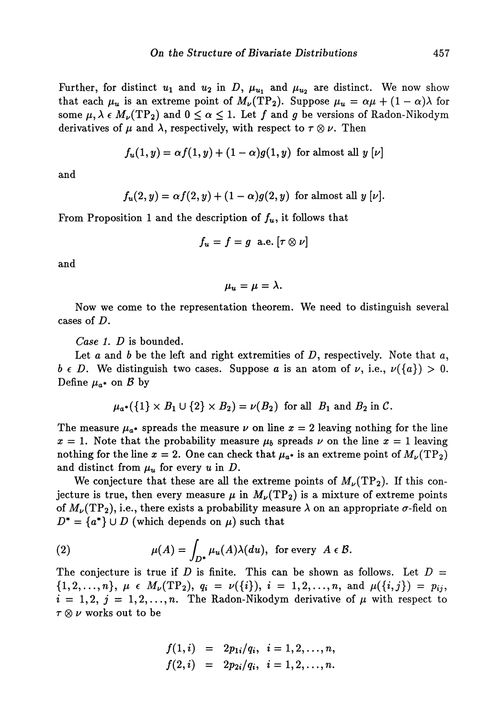Further, for distinct  $u_1$  and  $u_2$  in D,  $\mu_{u_1}$  and  $\mu_{u_2}$  are distinct. We now show that each  $\mu_u$  is an extreme point of  $M_\nu(TP_2)$ . Suppose  $\mu_u = \alpha \mu + (1 - \alpha)\lambda$  for some  $\mu, \lambda \in M_{\nu}(TP_2)$  and  $0 \leq \alpha \leq 1$ . Let f and g be versions of Radon-Nikodym derivatives of  $\mu$  and  $\lambda$ , respectively, with respect to  $\tau \otimes \nu$ . Then

$$
f_u(1,y) = \alpha f(1,y) + (1-\alpha)g(1,y)
$$
 for almost all  $y \,[\nu]$ 

and

$$
f_u(2, y) = \alpha f(2, y) + (1 - \alpha)g(2, y)
$$
 for almost all  $y \,[\nu].$ 

From Proposition 1 and the description of  $f_u$ , it follows that

$$
f_u = f = g \text{ a.e. } [\tau \otimes \nu]
$$

and

 $\mu_u = \mu = \lambda.$ 

Now we come to the representation theorem. We need to distinguish several cases of *D.*

*Case 1. D* is bounded.

Let *a* and *b* be the left and right extremities of *D*, respectively. Note that *a*,  $b \in D$ . We distinguish two cases. Suppose *a* is an atom of  $\nu$ , i.e.,  $\nu({a}) > 0$ . Define  $\mu_{a^*}$  on  $\beta$  by

$$
\mu_{a^*}(\lbrace 1 \rbrace \times B_1 \cup \lbrace 2 \rbrace \times B_2) = \nu(B_2) \text{ for all } B_1 \text{ and } B_2 \text{ in } C.
$$

The measure  $\mu_{a^*}$  spreads the measure  $\nu$  on line  $x=2$  leaving nothing for the line  $x = 1$ . Note that the probability measure  $\mu_b$  spreads  $\nu$  on the line  $x = 1$  leaving nothing for the line  $x = 2$ . One can check that  $\mu_{a^*}$  is an extreme point of  $M_{\nu}(\mathrm{TP}_2)$ and distinct from  $\mu_u$  for every  $u$  in  $D$ .

We conjecture that these are all the extreme points of  $M_{\nu}(TP_2)$ . If this conjecture is true, then every measure  $\mu$  in  $M_{\nu}(TP_2)$  is a mixture of extreme points of  $M_{\nu}(\text{TP}_2)$ , i.e., there exists a probability measure  $\lambda$  on an appropriate  $\sigma$ -field on  $D^* = \{a^*\} \cup D$  (which depends on  $\mu$ ) such that

(2) 
$$
\mu(A) = \int_{D^*} \mu_u(A) \lambda(du), \text{ for every } A \in \mathcal{B}.
$$

The conjecture is true if *D* is finite. This can be shown as follows. Let  $D =$  $\{1, 2, ..., n\}, \mu \in M_{\nu}(TP_2), q_i = \nu(\{i\}), i = 1, 2, ..., n, \text{ and } \mu(\{i, j\}) = p_{ij},$ <br> $\{1, 0, ..., n\}$  $i = 1, 2, j = 1, 2, \ldots, n$ . The Radon-Nikodym derivative of  $\mu$  with respect to  $\tau \otimes \nu$  works out to be

$$
f(1,i) = 2p_{1i}/q_i, i = 1,2,...,n,
$$
  

$$
f(2,i) = 2p_{2i}/q_i, i = 1,2,...,n.
$$